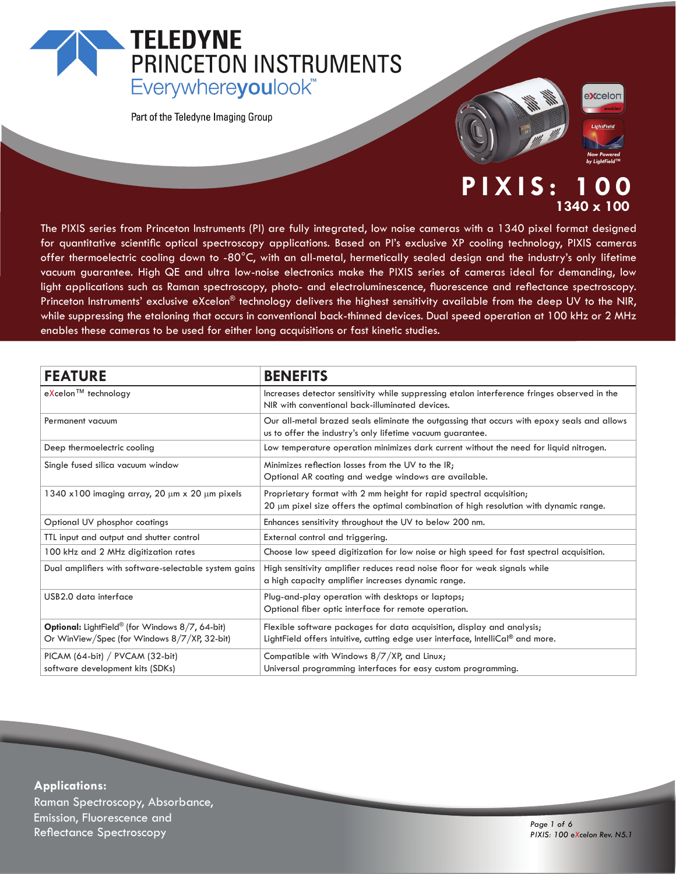# **TELEDYNE** PRINCETON INSTRUMENTS Everywhereyoulook<sup>"</sup>

Part of the Teledyne Imaging Group



## **PIXIS: 1340 x 100**

The PIXIS series from Princeton Instruments (PI) are fully integrated, low noise cameras with a 1340 pixel format designed for quantitative scientific optical spectroscopy applications. Based on PI's exclusive XP cooling technology, PIXIS cameras offer thermoelectric cooling down to -80°C, with an all-metal, hermetically sealed design and the industry's only lifetime vacuum guarantee. High QE and ultra low-noise electronics make the PIXIS series of cameras ideal for demanding, low light applications such as Raman spectroscopy, photo- and electroluminescence, fluorescence and reflectance spectroscopy. Princeton Instruments' exclusive eXcelon® technology delivers the highest sensitivity available from the deep UV to the NIR, while suppressing the etaloning that occurs in conventional back-thinned devices. Dual speed operation at 100 kHz or 2 MHz enables these cameras to be used for either long acquisitions or fast kinetic studies.

| <b>FEATURE</b>                                                                                                     | <b>BENEFITS</b>                                                                                                                                               |
|--------------------------------------------------------------------------------------------------------------------|---------------------------------------------------------------------------------------------------------------------------------------------------------------|
| eXcelon™ technology                                                                                                | Increases detector sensitivity while suppressing etalon interference fringes observed in the<br>NIR with conventional back-illuminated devices.               |
| Permanent vacuum                                                                                                   | Our all-metal brazed seals eliminate the outgassing that occurs with epoxy seals and allows<br>us to offer the industry's only lifetime vacuum guarantee.     |
| Deep thermoelectric cooling                                                                                        | Low temperature operation minimizes dark current without the need for liquid nitrogen.                                                                        |
| Single fused silica vacuum window                                                                                  | Minimizes reflection losses from the UV to the IR;<br>Optional AR coating and wedge windows are available.                                                    |
| 1340 x100 imaging array, 20 $\mu$ m x 20 $\mu$ m pixels                                                            | Proprietary format with 2 mm height for rapid spectral acquisition;<br>20 µm pixel size offers the optimal combination of high resolution with dynamic range. |
| Optional UV phosphor coatings                                                                                      | Enhances sensitivity throughout the UV to below 200 nm.                                                                                                       |
| TTL input and output and shutter control                                                                           | External control and triggering.                                                                                                                              |
| 100 kHz and 2 MHz digitization rates                                                                               | Choose low speed digitization for low noise or high speed for fast spectral acquisition.                                                                      |
| Dual amplifiers with software-selectable system gains                                                              | High sensitivity amplifier reduces read noise floor for weak signals while<br>a high capacity amplifier increases dynamic range.                              |
| USB2.0 data interface                                                                                              | Plug-and-play operation with desktops or laptops;<br>Optional fiber optic interface for remote operation.                                                     |
| <b>Optional:</b> LightField <sup>®</sup> (for Windows 8/7, 64-bit)<br>Or WinView/Spec (for Windows 8/7/XP, 32-bit) | Flexible software packages for data acquisition, display and analysis;<br>LightField offers intuitive, cutting edge user interface, IntelliCal® and more.     |
| PICAM (64-bit) / PVCAM (32-bit)<br>software development kits (SDKs)                                                | Compatible with Windows 8/7/XP, and Linux;<br>Universal programming interfaces for easy custom programming.                                                   |

**Applications:** Raman Spectroscopy, Absorbance, Emission, Fluorescence and د المستخدم المستخدم المستخدم المستخدم المستخدم المستخدم المستخدم المستخدم المستخدم المستخدم المستخدم المستخدم ا<br>1975 - Page 1 of 6<br>1976 - Page 1 of 6 (Page 1 of 6) - Page 1 of 6

*PIXIS: 100 eXcelon Rev. N5.1*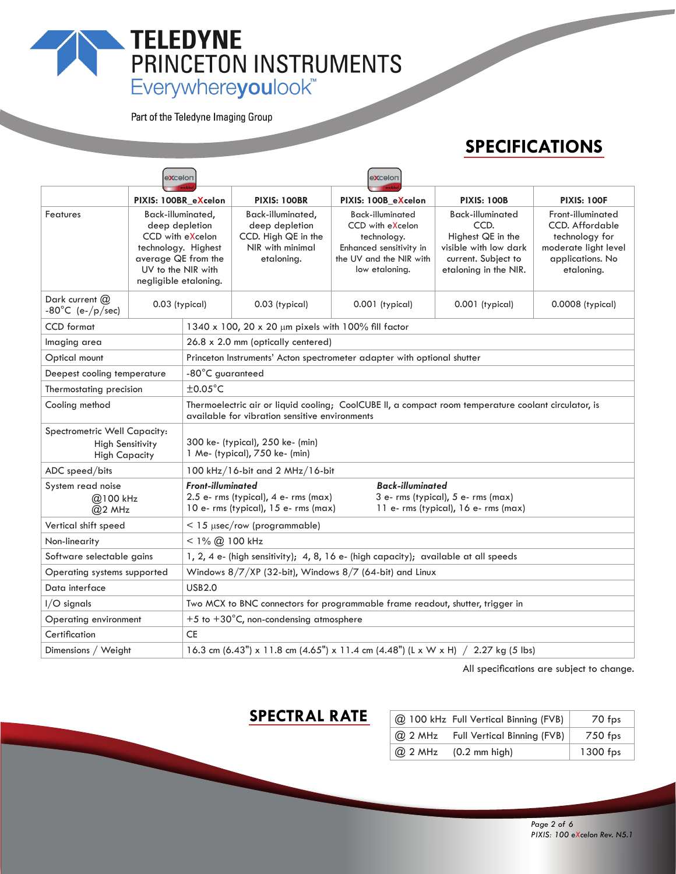# TELEDYNE<br>
PRINCETON INSTRUMENTS<br>
Everywhereyoulook"

Part of the Teledyne Imaging Group

# **SPECIFICATIONS**

|                                                                                 | <b>excelon</b>                                                                                                                                       | <b>eXcelon</b>                                                                                                                                                                                                      |                                                                                              |                                                                                                                                    |                                                                                                                               |                                                                                                                  |  |  |
|---------------------------------------------------------------------------------|------------------------------------------------------------------------------------------------------------------------------------------------------|---------------------------------------------------------------------------------------------------------------------------------------------------------------------------------------------------------------------|----------------------------------------------------------------------------------------------|------------------------------------------------------------------------------------------------------------------------------------|-------------------------------------------------------------------------------------------------------------------------------|------------------------------------------------------------------------------------------------------------------|--|--|
|                                                                                 | PIXIS: 100BR_eXcelon                                                                                                                                 |                                                                                                                                                                                                                     | <b>PIXIS: 100BR</b>                                                                          | PIXIS: 100B_eXcelon                                                                                                                | <b>PIXIS: 100B</b>                                                                                                            | <b>PIXIS: 100F</b>                                                                                               |  |  |
| Features                                                                        | Back-illuminated,<br>deep depletion<br>CCD with eXcelon<br>technology. Highest<br>average QE from the<br>UV to the NIR with<br>negligible etaloning. |                                                                                                                                                                                                                     | Back-illuminated,<br>deep depletion<br>CCD. High QE in the<br>NIR with minimal<br>etaloning. | <b>Back-illuminated</b><br>CCD with eXcelon<br>technology.<br>Enhanced sensitivity in<br>the UV and the NIR with<br>low etaloning. | <b>Back-illuminated</b><br>CCD.<br>Highest QE in the<br>visible with low dark<br>current. Subject to<br>etaloning in the NIR. | Front-illuminated<br>CCD. Affordable<br>technology for<br>moderate light level<br>applications. No<br>etaloning. |  |  |
| Dark current $(2)$<br>$-80^{\circ}$ C (e-/p/sec)                                | 0.03 (typical)                                                                                                                                       |                                                                                                                                                                                                                     | 0.03 (typical)                                                                               | $0.001$ (typical)                                                                                                                  | $0.001$ (typical)                                                                                                             | 0.0008 (typical)                                                                                                 |  |  |
| <b>CCD</b> format                                                               |                                                                                                                                                      |                                                                                                                                                                                                                     | 1340 x 100, 20 x 20 µm pixels with 100% fill factor                                          |                                                                                                                                    |                                                                                                                               |                                                                                                                  |  |  |
| Imaging area                                                                    |                                                                                                                                                      |                                                                                                                                                                                                                     | 26.8 x 2.0 mm (optically centered)                                                           |                                                                                                                                    |                                                                                                                               |                                                                                                                  |  |  |
| Optical mount                                                                   |                                                                                                                                                      |                                                                                                                                                                                                                     | Princeton Instruments' Acton spectrometer adapter with optional shutter                      |                                                                                                                                    |                                                                                                                               |                                                                                                                  |  |  |
| Deepest cooling temperature                                                     |                                                                                                                                                      |                                                                                                                                                                                                                     | -80°C guaranteed                                                                             |                                                                                                                                    |                                                                                                                               |                                                                                                                  |  |  |
| $\pm 0.05^{\circ}$ C<br>Thermostating precision                                 |                                                                                                                                                      |                                                                                                                                                                                                                     |                                                                                              |                                                                                                                                    |                                                                                                                               |                                                                                                                  |  |  |
| Cooling method                                                                  |                                                                                                                                                      | Thermoelectric air or liquid cooling; CoolCUBE II, a compact room temperature coolant circulator, is<br>available for vibration sensitive environments                                                              |                                                                                              |                                                                                                                                    |                                                                                                                               |                                                                                                                  |  |  |
| Spectrometric Well Capacity:<br><b>High Sensitivity</b><br><b>High Capacity</b> |                                                                                                                                                      | 300 ke- (typical), 250 ke- (min)<br>1 Me- (typical), 750 ke- (min)                                                                                                                                                  |                                                                                              |                                                                                                                                    |                                                                                                                               |                                                                                                                  |  |  |
| ADC speed/bits                                                                  | $100$ kHz/16-bit and 2 MHz/16-bit                                                                                                                    |                                                                                                                                                                                                                     |                                                                                              |                                                                                                                                    |                                                                                                                               |                                                                                                                  |  |  |
| System read noise<br>@100 kHz<br>$@2$ MHz                                       |                                                                                                                                                      | <b>Front-illuminated</b><br><b>Back-illuminated</b><br>$2.5$ e- rms (typical), 4 e- rms (max)<br>3 e- rms (typical), 5 e- rms (max)<br>10 e- rms (typical), 15 e- rms (max)<br>11 e- rms (typical), 16 e- rms (max) |                                                                                              |                                                                                                                                    |                                                                                                                               |                                                                                                                  |  |  |
| Vertical shift speed                                                            | $<$ 15 $\mu$ sec/row (programmable)                                                                                                                  |                                                                                                                                                                                                                     |                                                                                              |                                                                                                                                    |                                                                                                                               |                                                                                                                  |  |  |
| Non-linearity                                                                   | $<$ 1% $(2)$ 100 kHz                                                                                                                                 |                                                                                                                                                                                                                     |                                                                                              |                                                                                                                                    |                                                                                                                               |                                                                                                                  |  |  |
| Software selectable gains                                                       | 1, 2, 4 e- (high sensitivity); 4, 8, 16 e- (high capacity); available at all speeds                                                                  |                                                                                                                                                                                                                     |                                                                                              |                                                                                                                                    |                                                                                                                               |                                                                                                                  |  |  |
|                                                                                 | Windows $8/7/XP$ (32-bit), Windows $8/7$ (64-bit) and Linux<br>Operating systems supported                                                           |                                                                                                                                                                                                                     |                                                                                              |                                                                                                                                    |                                                                                                                               |                                                                                                                  |  |  |
| Data interface                                                                  | <b>USB2.0</b>                                                                                                                                        |                                                                                                                                                                                                                     |                                                                                              |                                                                                                                                    |                                                                                                                               |                                                                                                                  |  |  |
| $I/O$ signals                                                                   | Two MCX to BNC connectors for programmable frame readout, shutter, trigger in                                                                        |                                                                                                                                                                                                                     |                                                                                              |                                                                                                                                    |                                                                                                                               |                                                                                                                  |  |  |
| Operating environment                                                           |                                                                                                                                                      |                                                                                                                                                                                                                     | +5 to +30 $^{\circ}$ C, non-condensing atmosphere                                            |                                                                                                                                    |                                                                                                                               |                                                                                                                  |  |  |
| Certification                                                                   |                                                                                                                                                      | <b>CE</b>                                                                                                                                                                                                           |                                                                                              |                                                                                                                                    |                                                                                                                               |                                                                                                                  |  |  |
| Dimensions / Weight                                                             |                                                                                                                                                      | 16.3 cm (6.43") x 11.8 cm (4.65") x 11.4 cm (4.48") (L x W x H) $/$ 2.27 kg (5 lbs)                                                                                                                                 |                                                                                              |                                                                                                                                    |                                                                                                                               |                                                                                                                  |  |  |

All specifications are subject to change.

#### **SPECTRAL RATE**

|           | @ 100 kHz Full Vertical Binning (FVB) | 70 fps   |
|-----------|---------------------------------------|----------|
| $@$ 2 MHz | Full Vertical Binning (FVB)           | 750 fps  |
| $@$ 2 MHz | $(0.2 \text{ mm high})$               | 1300 fps |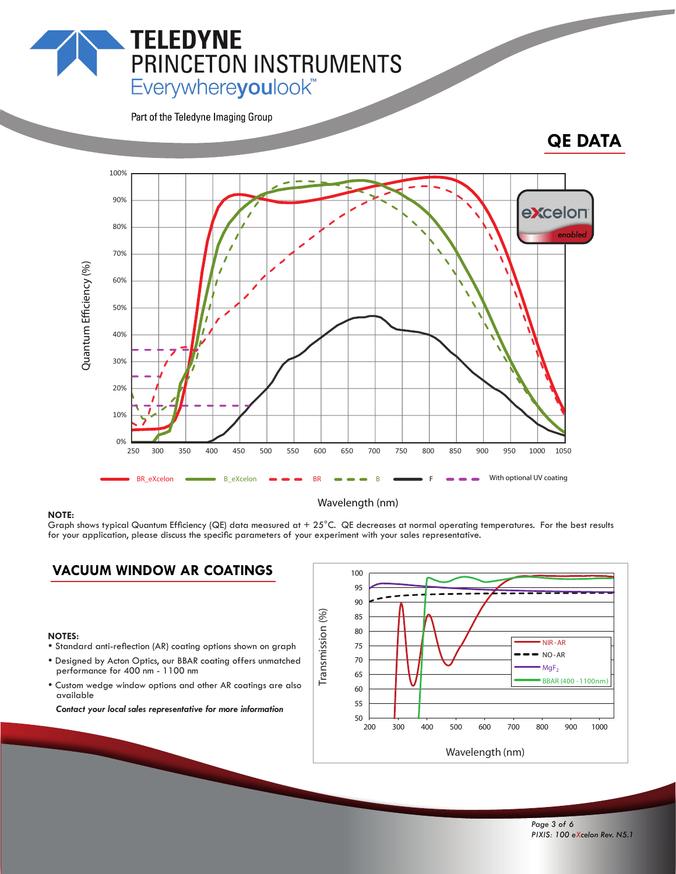# Everywhereyoulook<sup>"</sup>

PRINCETON INSTRUMENTS

Part of the Teledyne Imaging Group

**TELEDYNE** 

### **QE DATA**



#### **NOTE:**

#### Wavelength (nm)

Graph shows typical Quantum Efficiency (QE) data measured at  $+25^{\circ}$ C. QE decreases at normal operating temperatures. For the best results for your application, please discuss the specific parameters of your experiment with your sales representative.

#### **VACUUM WINDOW AR COATINGS**

- **NOTES:**<br>• Standard anti-reflection (AR) coating options shown on graph
- Designed by Acton Optics, our BBAR coating offers unmatched performance for 400 nm - 1100 nm
- Custom wedge window options and other AR coatings are also available

*Contact your local sales representative for more information*

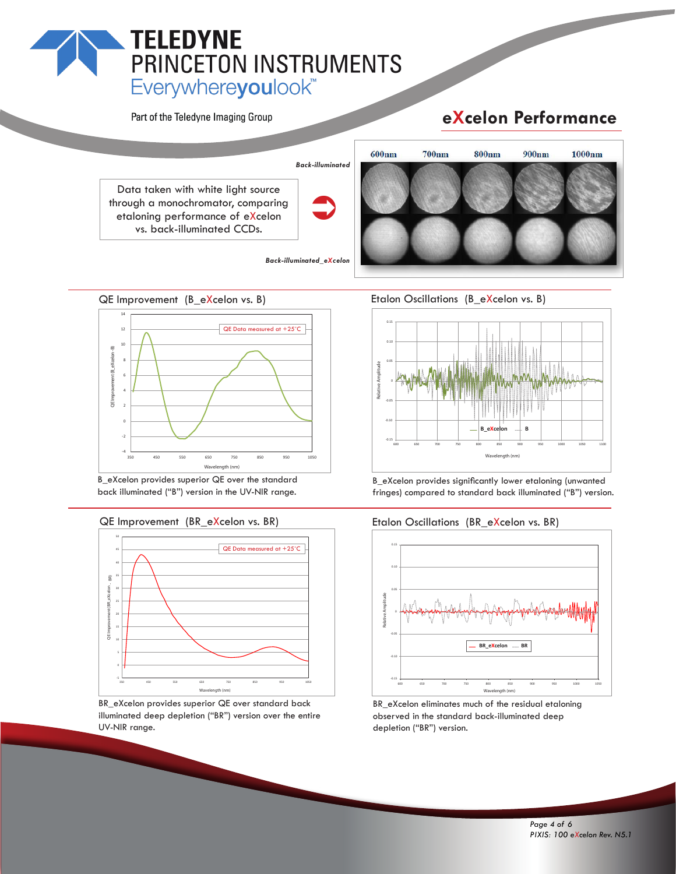# **TELEDYNE** PRINCETON INSTRUMENTS Everywhereyoulook<sup>"</sup>

Part of the Teledyne Imaging Group

# **eXcelon Performance**



*Back-illuminated\_eXcelon*

QE Improvement (B eXcelon vs. B)



B\_eXcelon provides superior QE over the standard back illuminated ("B") version in the UV-NIR range.

#### QE Improvement (BR\_eXcelon vs. BR)



BR\_eXcelon provides superior QE over standard back illuminated deep depletion ("BR") version over the entire UV-NIR range.

Etalon Oscillations (B eXcelon vs. B)



B\_eXcelon provides significantly lower etaloning (unwanted fringes) compared to standard back illuminated ("B") version.

#### Etalon Oscillations (BR\_eXcelon vs. BR)



BR\_eXcelon eliminates much of the residual etaloning observed in the standard back-illuminated deep depletion ("BR") version.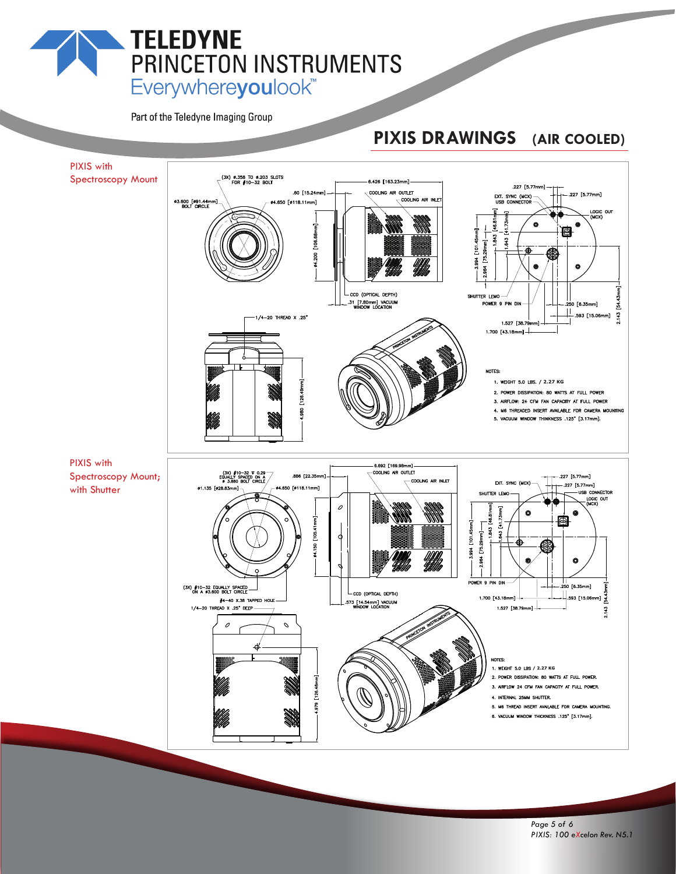# **TELEDYNE** PRINCETON INSTRUMENTS Everywhereyoulook<sup>"</sup>

Part of the Teledyne Imaging Group

# **PIXIS DRAWINGS (AIR COOLED)**